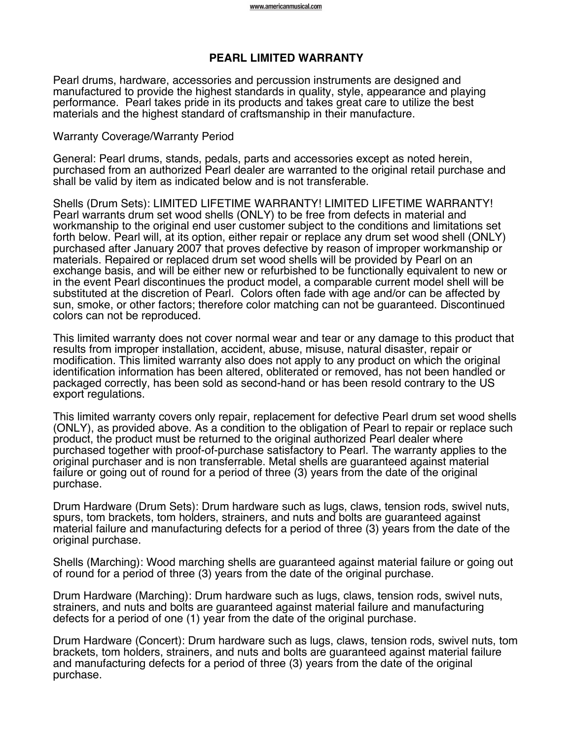## **PEARL LIMITED WARRANTY**

Pearl drums, hardware, accessories and percussion instruments are designed and manufactured to provide the highest standards in quality, style, appearance and playing performance. Pearl takes pride in its products and takes great care to utilize the best materials and the highest standard of craftsmanship in their manufacture.

## Warranty Coverage/Warranty Period

General: Pearl drums, stands, pedals, parts and accessories except as noted herein, purchased from an authorized Pearl dealer are warranted to the original retail purchase and shall be valid by item as indicated below and is not transferable.

Shells (Drum Sets): LIMITED LIFETIME WARRANTY! LIMITED LIFETIME WARRANTY! Pearl warrants drum set wood shells (ONLY) to be free from defects in material and workmanship to the original end user customer subject to the conditions and limitations set forth below. Pearl will, at its option, either repair or replace any drum set wood shell (ONLY) purchased after January 2007 that proves defective by reason of improper workmanship or materials. Repaired or replaced drum set wood shells will be provided by Pearl on an exchange basis, and will be either new or refurbished to be functionally equivalent to new or in the event Pearl discontinues the product model, a comparable current model shell will be substituted at the discretion of Pearl. Colors often fade with age and/or can be affected by sun, smoke, or other factors; therefore color matching can not be guaranteed. Discontinued colors can not be reproduced.

This limited warranty does not cover normal wear and tear or any damage to this product that results from improper installation, accident, abuse, misuse, natural disaster, repair or modification. This limited warranty also does not apply to any product on which the original identification information has been altered, obliterated or removed, has not been handled or packaged correctly, has been sold as second-hand or has been resold contrary to the US export regulations.

This limited warranty covers only repair, replacement for defective Pearl drum set wood shells (ONLY), as provided above. As a condition to the obligation of Pearl to repair or replace such product, the product must be returned to the original authorized Pearl dealer where purchased together with proof-of-purchase satisfactory to Pearl. The warranty applies to the original purchaser and is non transferrable. Metal shells are guaranteed against material failure or going out of round for a period of three (3) years from the date of the original purchase.

Drum Hardware (Drum Sets): Drum hardware such as lugs, claws, tension rods, swivel nuts, spurs, tom brackets, tom holders, strainers, and nuts and bolts are guaranteed against material failure and manufacturing defects for a period of three (3) years from the date of the original purchase.

Shells (Marching): Wood marching shells are guaranteed against material failure or going out of round for a period of three (3) years from the date of the original purchase.

Drum Hardware (Marching): Drum hardware such as lugs, claws, tension rods, swivel nuts, strainers, and nuts and bolts are guaranteed against material failure and manufacturing defects for a period of one (1) year from the date of the original purchase.

Drum Hardware (Concert): Drum hardware such as lugs, claws, tension rods, swivel nuts, tom brackets, tom holders, strainers, and nuts and bolts are guaranteed against material failure and manufacturing defects for a period of three (3) years from the date of the original purchase.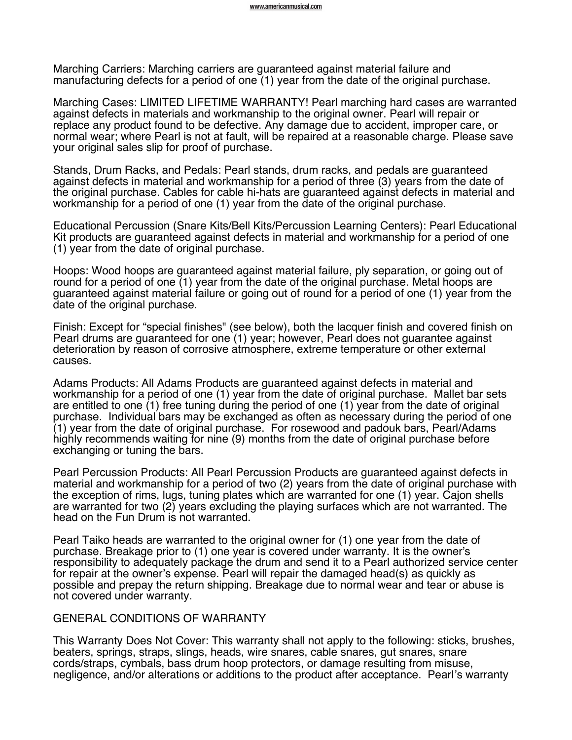Marching Carriers: Marching carriers are guaranteed against material failure and manufacturing defects for a period of one (1) year from the date of the original purchase.

Marching Cases: LIMITED LIFETIME WARRANTY! Pearl marching hard cases are warranted against defects in materials and workmanship to the original owner. Pearl will repair or replace any product found to be defective. Any damage due to accident, improper care, or normal wear; where Pearl is not at fault, will be repaired at a reasonable charge. Please save your original sales slip for proof of purchase.

Stands, Drum Racks, and Pedals: Pearl stands, drum racks, and pedals are guaranteed against defects in material and workmanship for a period of three (3) years from the date of the original purchase. Cables for cable hi-hats are guaranteed against defects in material and workmanship for a period of one (1) year from the date of the original purchase.

Educational Percussion (Snare Kits/Bell Kits/Percussion Learning Centers): Pearl Educational Kit products are guaranteed against defects in material and workmanship for a period of one (1) year from the date of original purchase.

Hoops: Wood hoops are guaranteed against material failure, ply separation, or going out of round for a period of one (1) year from the date of the original purchase. Metal hoops are guaranteed against material failure or going out of round for a period of one (1) year from the date of the original purchase.

Finish: Except for "special finishes" (see below), both the lacquer finish and covered finish on Pearl drums are guaranteed for one (1) year; however, Pearl does not guarantee against deterioration by reason of corrosive atmosphere, extreme temperature or other external causes.

Adams Products: All Adams Products are guaranteed against defects in material and workmanship for a period of one (1) year from the date of original purchase. Mallet bar sets are entitled to one (1) free tuning during the period of one (1) year from the date of original purchase. Individual bars may be exchanged as often as necessary during the period of one (1) year from the date of original purchase. For rosewood and padouk bars, Pearl/Adams highly recommends waiting for nine (9) months from the date of original purchase before exchanging or tuning the bars.

Pearl Percussion Products: All Pearl Percussion Products are guaranteed against defects in material and workmanship for a period of two (2) years from the date of original purchase with the exception of rims, lugs, tuning plates which are warranted for one (1) year. Cajon shells are warranted for two (2) years excluding the playing surfaces which are not warranted. The head on the Fun Drum is not warranted.

Pearl Taiko heads are warranted to the original owner for (1) one year from the date of purchase. Breakage prior to (1) one year is covered under warranty. It is the owner's responsibility to adequately package the drum and send it to a Pearl authorized service center for repair at the owner's expense. Pearl will repair the damaged head(s) as quickly as possible and prepay the return shipping. Breakage due to normal wear and tear or abuse is not covered under warranty.

## GENERAL CONDITIONS OF WARRANTY

This Warranty Does Not Cover: This warranty shall not apply to the following: sticks, brushes, beaters, springs, straps, slings, heads, wire snares, cable snares, gut snares, snare cords/straps, cymbals, bass drum hoop protectors, or damage resulting from misuse, negligence, and/or alterations or additions to the product after acceptance. Pearl's warranty